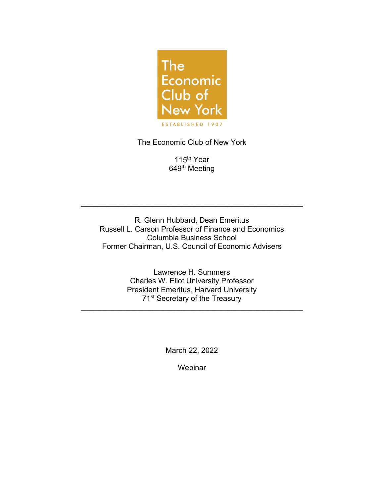

The Economic Club of New York

115<sup>th</sup> Year 649<sup>th</sup> Meeting

R. Glenn Hubbard, Dean Emeritus Russell L. Carson Professor of Finance and Economics Columbia Business School Former Chairman, U.S. Council of Economic Advisers

\_\_\_\_\_\_\_\_\_\_\_\_\_\_\_\_\_\_\_\_\_\_\_\_\_\_\_\_\_\_\_\_\_\_\_\_\_\_\_\_\_\_\_\_\_\_\_\_\_\_\_\_\_

Lawrence H. Summers Charles W. Eliot University Professor President Emeritus, Harvard University 71st Secretary of the Treasury

\_\_\_\_\_\_\_\_\_\_\_\_\_\_\_\_\_\_\_\_\_\_\_\_\_\_\_\_\_\_\_\_\_\_\_\_\_\_\_\_\_\_\_\_\_\_\_\_\_\_\_\_\_

March 22, 2022

**Webinar**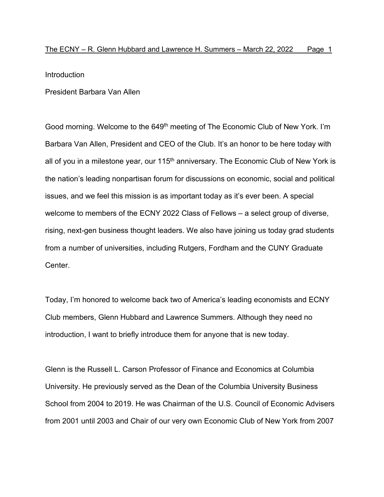Introduction

President Barbara Van Allen

Good morning. Welcome to the 649<sup>th</sup> meeting of The Economic Club of New York. I'm Barbara Van Allen, President and CEO of the Club. It's an honor to be here today with all of you in a milestone year, our  $115<sup>th</sup>$  anniversary. The Economic Club of New York is the nation's leading nonpartisan forum for discussions on economic, social and political issues, and we feel this mission is as important today as it's ever been. A special welcome to members of the ECNY 2022 Class of Fellows – a select group of diverse, rising, next-gen business thought leaders. We also have joining us today grad students from a number of universities, including Rutgers, Fordham and the CUNY Graduate Center.

Today, I'm honored to welcome back two of America's leading economists and ECNY Club members, Glenn Hubbard and Lawrence Summers. Although they need no introduction, I want to briefly introduce them for anyone that is new today.

Glenn is the Russell L. Carson Professor of Finance and Economics at Columbia University. He previously served as the Dean of the Columbia University Business School from 2004 to 2019. He was Chairman of the U.S. Council of Economic Advisers from 2001 until 2003 and Chair of our very own Economic Club of New York from 2007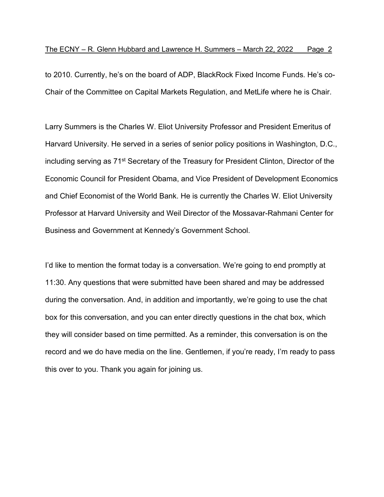to 2010. Currently, he's on the board of ADP, BlackRock Fixed Income Funds. He's co-Chair of the Committee on Capital Markets Regulation, and MetLife where he is Chair.

Larry Summers is the Charles W. Eliot University Professor and President Emeritus of Harvard University. He served in a series of senior policy positions in Washington, D.C., including serving as 71<sup>st</sup> Secretary of the Treasury for President Clinton, Director of the Economic Council for President Obama, and Vice President of Development Economics and Chief Economist of the World Bank. He is currently the Charles W. Eliot University Professor at Harvard University and Weil Director of the Mossavar-Rahmani Center for Business and Government at Kennedy's Government School.

I'd like to mention the format today is a conversation. We're going to end promptly at 11:30. Any questions that were submitted have been shared and may be addressed during the conversation. And, in addition and importantly, we're going to use the chat box for this conversation, and you can enter directly questions in the chat box, which they will consider based on time permitted. As a reminder, this conversation is on the record and we do have media on the line. Gentlemen, if you're ready, I'm ready to pass this over to you. Thank you again for joining us.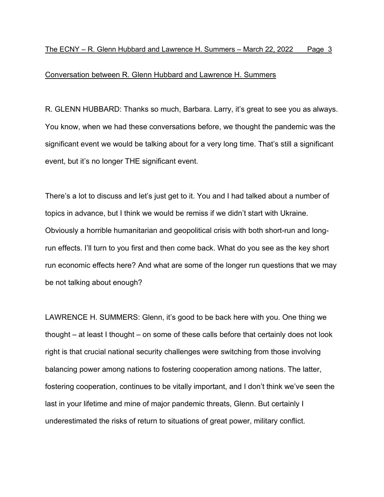## Conversation between R. Glenn Hubbard and Lawrence H. Summers

R. GLENN HUBBARD: Thanks so much, Barbara. Larry, it's great to see you as always. You know, when we had these conversations before, we thought the pandemic was the significant event we would be talking about for a very long time. That's still a significant event, but it's no longer THE significant event.

There's a lot to discuss and let's just get to it. You and I had talked about a number of topics in advance, but I think we would be remiss if we didn't start with Ukraine. Obviously a horrible humanitarian and geopolitical crisis with both short-run and longrun effects. I'll turn to you first and then come back. What do you see as the key short run economic effects here? And what are some of the longer run questions that we may be not talking about enough?

LAWRENCE H. SUMMERS: Glenn, it's good to be back here with you. One thing we thought – at least I thought – on some of these calls before that certainly does not look right is that crucial national security challenges were switching from those involving balancing power among nations to fostering cooperation among nations. The latter, fostering cooperation, continues to be vitally important, and I don't think we've seen the last in your lifetime and mine of major pandemic threats, Glenn. But certainly I underestimated the risks of return to situations of great power, military conflict.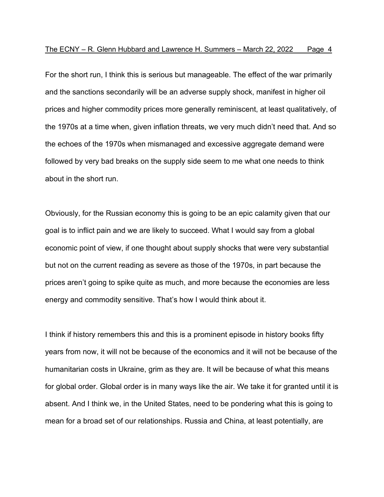For the short run, I think this is serious but manageable. The effect of the war primarily and the sanctions secondarily will be an adverse supply shock, manifest in higher oil prices and higher commodity prices more generally reminiscent, at least qualitatively, of the 1970s at a time when, given inflation threats, we very much didn't need that. And so the echoes of the 1970s when mismanaged and excessive aggregate demand were followed by very bad breaks on the supply side seem to me what one needs to think about in the short run.

Obviously, for the Russian economy this is going to be an epic calamity given that our goal is to inflict pain and we are likely to succeed. What I would say from a global economic point of view, if one thought about supply shocks that were very substantial but not on the current reading as severe as those of the 1970s, in part because the prices aren't going to spike quite as much, and more because the economies are less energy and commodity sensitive. That's how I would think about it.

I think if history remembers this and this is a prominent episode in history books fifty years from now, it will not be because of the economics and it will not be because of the humanitarian costs in Ukraine, grim as they are. It will be because of what this means for global order. Global order is in many ways like the air. We take it for granted until it is absent. And I think we, in the United States, need to be pondering what this is going to mean for a broad set of our relationships. Russia and China, at least potentially, are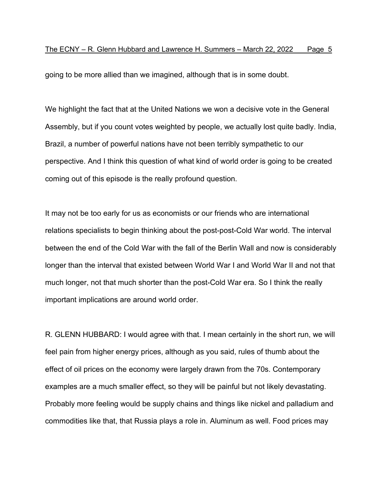going to be more allied than we imagined, although that is in some doubt.

We highlight the fact that at the United Nations we won a decisive vote in the General Assembly, but if you count votes weighted by people, we actually lost quite badly. India, Brazil, a number of powerful nations have not been terribly sympathetic to our perspective. And I think this question of what kind of world order is going to be created coming out of this episode is the really profound question.

It may not be too early for us as economists or our friends who are international relations specialists to begin thinking about the post-post-Cold War world. The interval between the end of the Cold War with the fall of the Berlin Wall and now is considerably longer than the interval that existed between World War I and World War II and not that much longer, not that much shorter than the post-Cold War era. So I think the really important implications are around world order.

R. GLENN HUBBARD: I would agree with that. I mean certainly in the short run, we will feel pain from higher energy prices, although as you said, rules of thumb about the effect of oil prices on the economy were largely drawn from the 70s. Contemporary examples are a much smaller effect, so they will be painful but not likely devastating. Probably more feeling would be supply chains and things like nickel and palladium and commodities like that, that Russia plays a role in. Aluminum as well. Food prices may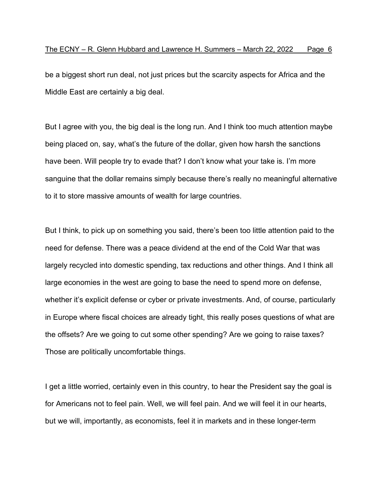be a biggest short run deal, not just prices but the scarcity aspects for Africa and the Middle East are certainly a big deal.

But I agree with you, the big deal is the long run. And I think too much attention maybe being placed on, say, what's the future of the dollar, given how harsh the sanctions have been. Will people try to evade that? I don't know what your take is. I'm more sanguine that the dollar remains simply because there's really no meaningful alternative to it to store massive amounts of wealth for large countries.

But I think, to pick up on something you said, there's been too little attention paid to the need for defense. There was a peace dividend at the end of the Cold War that was largely recycled into domestic spending, tax reductions and other things. And I think all large economies in the west are going to base the need to spend more on defense, whether it's explicit defense or cyber or private investments. And, of course, particularly in Europe where fiscal choices are already tight, this really poses questions of what are the offsets? Are we going to cut some other spending? Are we going to raise taxes? Those are politically uncomfortable things.

I get a little worried, certainly even in this country, to hear the President say the goal is for Americans not to feel pain. Well, we will feel pain. And we will feel it in our hearts, but we will, importantly, as economists, feel it in markets and in these longer-term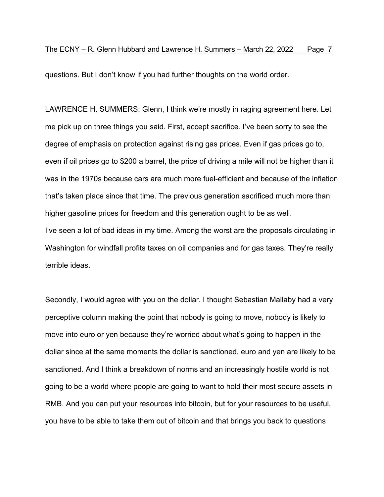questions. But I don't know if you had further thoughts on the world order.

LAWRENCE H. SUMMERS: Glenn, I think we're mostly in raging agreement here. Let me pick up on three things you said. First, accept sacrifice. I've been sorry to see the degree of emphasis on protection against rising gas prices. Even if gas prices go to, even if oil prices go to \$200 a barrel, the price of driving a mile will not be higher than it was in the 1970s because cars are much more fuel-efficient and because of the inflation that's taken place since that time. The previous generation sacrificed much more than higher gasoline prices for freedom and this generation ought to be as well. I've seen a lot of bad ideas in my time. Among the worst are the proposals circulating in Washington for windfall profits taxes on oil companies and for gas taxes. They're really terrible ideas.

Secondly, I would agree with you on the dollar. I thought Sebastian Mallaby had a very perceptive column making the point that nobody is going to move, nobody is likely to move into euro or yen because they're worried about what's going to happen in the dollar since at the same moments the dollar is sanctioned, euro and yen are likely to be sanctioned. And I think a breakdown of norms and an increasingly hostile world is not going to be a world where people are going to want to hold their most secure assets in RMB. And you can put your resources into bitcoin, but for your resources to be useful, you have to be able to take them out of bitcoin and that brings you back to questions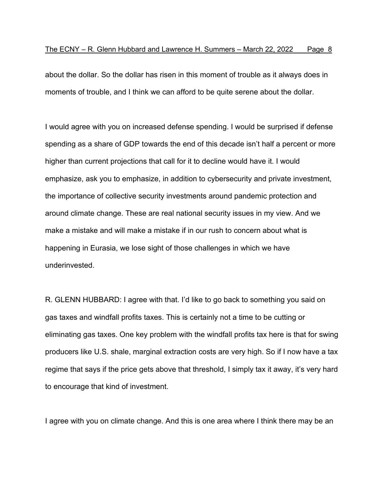about the dollar. So the dollar has risen in this moment of trouble as it always does in moments of trouble, and I think we can afford to be quite serene about the dollar.

I would agree with you on increased defense spending. I would be surprised if defense spending as a share of GDP towards the end of this decade isn't half a percent or more higher than current projections that call for it to decline would have it. I would emphasize, ask you to emphasize, in addition to cybersecurity and private investment, the importance of collective security investments around pandemic protection and around climate change. These are real national security issues in my view. And we make a mistake and will make a mistake if in our rush to concern about what is happening in Eurasia, we lose sight of those challenges in which we have underinvested.

R. GLENN HUBBARD: I agree with that. I'd like to go back to something you said on gas taxes and windfall profits taxes. This is certainly not a time to be cutting or eliminating gas taxes. One key problem with the windfall profits tax here is that for swing producers like U.S. shale, marginal extraction costs are very high. So if I now have a tax regime that says if the price gets above that threshold, I simply tax it away, it's very hard to encourage that kind of investment.

I agree with you on climate change. And this is one area where I think there may be an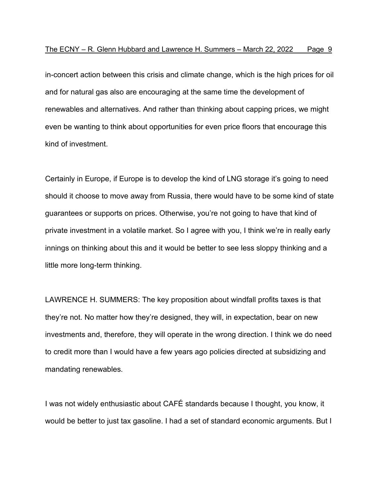in-concert action between this crisis and climate change, which is the high prices for oil and for natural gas also are encouraging at the same time the development of renewables and alternatives. And rather than thinking about capping prices, we might even be wanting to think about opportunities for even price floors that encourage this kind of investment.

Certainly in Europe, if Europe is to develop the kind of LNG storage it's going to need should it choose to move away from Russia, there would have to be some kind of state guarantees or supports on prices. Otherwise, you're not going to have that kind of private investment in a volatile market. So I agree with you, I think we're in really early innings on thinking about this and it would be better to see less sloppy thinking and a little more long-term thinking.

LAWRENCE H. SUMMERS: The key proposition about windfall profits taxes is that they're not. No matter how they're designed, they will, in expectation, bear on new investments and, therefore, they will operate in the wrong direction. I think we do need to credit more than I would have a few years ago policies directed at subsidizing and mandating renewables.

I was not widely enthusiastic about CAFÉ standards because I thought, you know, it would be better to just tax gasoline. I had a set of standard economic arguments. But I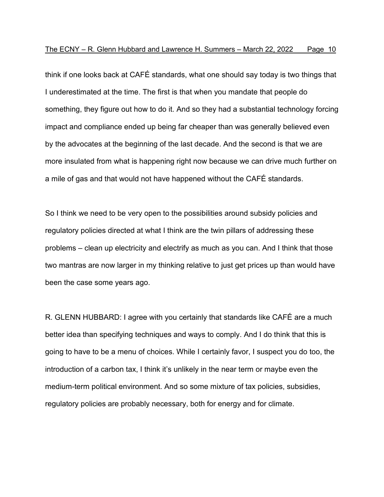think if one looks back at CAFÉ standards, what one should say today is two things that I underestimated at the time. The first is that when you mandate that people do something, they figure out how to do it. And so they had a substantial technology forcing impact and compliance ended up being far cheaper than was generally believed even by the advocates at the beginning of the last decade. And the second is that we are more insulated from what is happening right now because we can drive much further on a mile of gas and that would not have happened without the CAFÉ standards.

So I think we need to be very open to the possibilities around subsidy policies and regulatory policies directed at what I think are the twin pillars of addressing these problems – clean up electricity and electrify as much as you can. And I think that those two mantras are now larger in my thinking relative to just get prices up than would have been the case some years ago.

R. GLENN HUBBARD: I agree with you certainly that standards like CAFÉ are a much better idea than specifying techniques and ways to comply. And I do think that this is going to have to be a menu of choices. While I certainly favor, I suspect you do too, the introduction of a carbon tax, I think it's unlikely in the near term or maybe even the medium-term political environment. And so some mixture of tax policies, subsidies, regulatory policies are probably necessary, both for energy and for climate.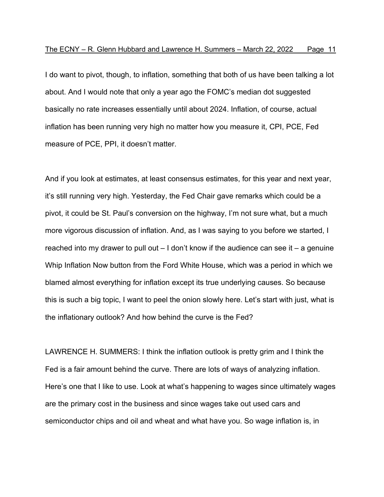I do want to pivot, though, to inflation, something that both of us have been talking a lot about. And I would note that only a year ago the FOMC's median dot suggested basically no rate increases essentially until about 2024. Inflation, of course, actual inflation has been running very high no matter how you measure it, CPI, PCE, Fed measure of PCE, PPI, it doesn't matter.

And if you look at estimates, at least consensus estimates, for this year and next year, it's still running very high. Yesterday, the Fed Chair gave remarks which could be a pivot, it could be St. Paul's conversion on the highway, I'm not sure what, but a much more vigorous discussion of inflation. And, as I was saying to you before we started, I reached into my drawer to pull out – I don't know if the audience can see it – a genuine Whip Inflation Now button from the Ford White House, which was a period in which we blamed almost everything for inflation except its true underlying causes. So because this is such a big topic, I want to peel the onion slowly here. Let's start with just, what is the inflationary outlook? And how behind the curve is the Fed?

LAWRENCE H. SUMMERS: I think the inflation outlook is pretty grim and I think the Fed is a fair amount behind the curve. There are lots of ways of analyzing inflation. Here's one that I like to use. Look at what's happening to wages since ultimately wages are the primary cost in the business and since wages take out used cars and semiconductor chips and oil and wheat and what have you. So wage inflation is, in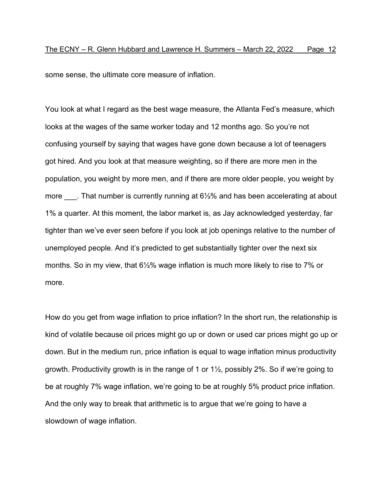some sense, the ultimate core measure of inflation.

You look at what I regard as the best wage measure, the Atlanta Fed's measure, which looks at the wages of the same worker today and 12 months ago. So you're not confusing yourself by saying that wages have gone down because a lot of teenagers got hired. And you look at that measure weighting, so if there are more men in the population, you weight by more men, and if there are more older people, you weight by more  $\blacksquare$ . That number is currently running at 6½% and has been accelerating at about 1% a quarter. At this moment, the labor market is, as Jay acknowledged yesterday, far tighter than we've ever seen before if you look at job openings relative to the number of unemployed people. And it's predicted to get substantially tighter over the next six months. So in my view, that 6½% wage inflation is much more likely to rise to 7% or more.

How do you get from wage inflation to price inflation? In the short run, the relationship is kind of volatile because oil prices might go up or down or used car prices might go up or down. But in the medium run, price inflation is equal to wage inflation minus productivity growth. Productivity growth is in the range of 1 or 1½, possibly 2%. So if we're going to be at roughly 7% wage inflation, we're going to be at roughly 5% product price inflation. And the only way to break that arithmetic is to argue that we're going to have a slowdown of wage inflation.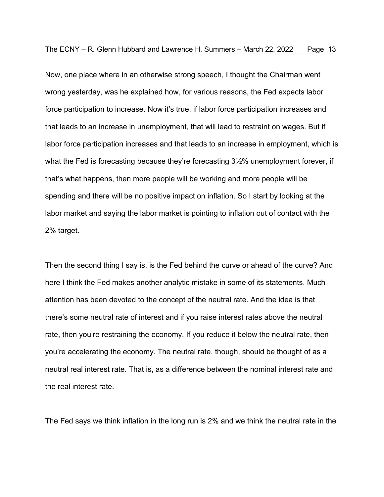Now, one place where in an otherwise strong speech, I thought the Chairman went wrong yesterday, was he explained how, for various reasons, the Fed expects labor force participation to increase. Now it's true, if labor force participation increases and that leads to an increase in unemployment, that will lead to restraint on wages. But if labor force participation increases and that leads to an increase in employment, which is what the Fed is forecasting because they're forecasting 3½% unemployment forever, if that's what happens, then more people will be working and more people will be spending and there will be no positive impact on inflation. So I start by looking at the labor market and saying the labor market is pointing to inflation out of contact with the 2% target.

Then the second thing I say is, is the Fed behind the curve or ahead of the curve? And here I think the Fed makes another analytic mistake in some of its statements. Much attention has been devoted to the concept of the neutral rate. And the idea is that there's some neutral rate of interest and if you raise interest rates above the neutral rate, then you're restraining the economy. If you reduce it below the neutral rate, then you're accelerating the economy. The neutral rate, though, should be thought of as a neutral real interest rate. That is, as a difference between the nominal interest rate and the real interest rate.

The Fed says we think inflation in the long run is 2% and we think the neutral rate in the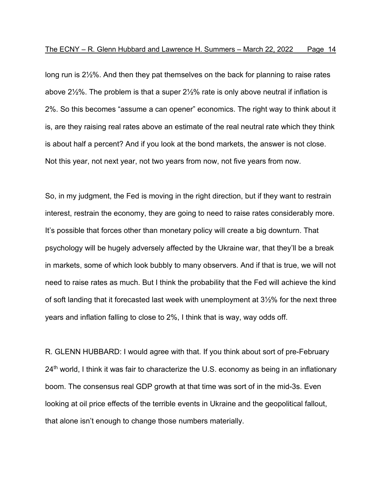long run is 2½%. And then they pat themselves on the back for planning to raise rates above 2½%. The problem is that a super 2½% rate is only above neutral if inflation is 2%. So this becomes "assume a can opener" economics. The right way to think about it is, are they raising real rates above an estimate of the real neutral rate which they think is about half a percent? And if you look at the bond markets, the answer is not close. Not this year, not next year, not two years from now, not five years from now.

So, in my judgment, the Fed is moving in the right direction, but if they want to restrain interest, restrain the economy, they are going to need to raise rates considerably more. It's possible that forces other than monetary policy will create a big downturn. That psychology will be hugely adversely affected by the Ukraine war, that they'll be a break in markets, some of which look bubbly to many observers. And if that is true, we will not need to raise rates as much. But I think the probability that the Fed will achieve the kind of soft landing that it forecasted last week with unemployment at 3½% for the next three years and inflation falling to close to 2%, I think that is way, way odds off.

R. GLENN HUBBARD: I would agree with that. If you think about sort of pre-February 24<sup>th</sup> world, I think it was fair to characterize the U.S. economy as being in an inflationary boom. The consensus real GDP growth at that time was sort of in the mid-3s. Even looking at oil price effects of the terrible events in Ukraine and the geopolitical fallout, that alone isn't enough to change those numbers materially.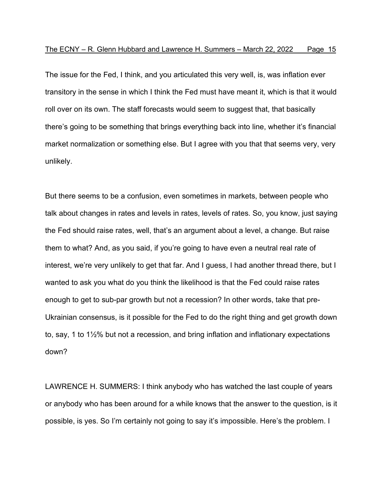The issue for the Fed, I think, and you articulated this very well, is, was inflation ever transitory in the sense in which I think the Fed must have meant it, which is that it would roll over on its own. The staff forecasts would seem to suggest that, that basically there's going to be something that brings everything back into line, whether it's financial market normalization or something else. But I agree with you that that seems very, very unlikely.

But there seems to be a confusion, even sometimes in markets, between people who talk about changes in rates and levels in rates, levels of rates. So, you know, just saying the Fed should raise rates, well, that's an argument about a level, a change. But raise them to what? And, as you said, if you're going to have even a neutral real rate of interest, we're very unlikely to get that far. And I guess, I had another thread there, but I wanted to ask you what do you think the likelihood is that the Fed could raise rates enough to get to sub-par growth but not a recession? In other words, take that pre-Ukrainian consensus, is it possible for the Fed to do the right thing and get growth down to, say, 1 to 1½% but not a recession, and bring inflation and inflationary expectations down?

LAWRENCE H. SUMMERS: I think anybody who has watched the last couple of years or anybody who has been around for a while knows that the answer to the question, is it possible, is yes. So I'm certainly not going to say it's impossible. Here's the problem. I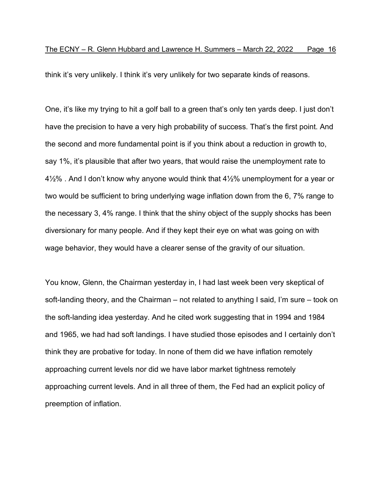think it's very unlikely. I think it's very unlikely for two separate kinds of reasons.

One, it's like my trying to hit a golf ball to a green that's only ten yards deep. I just don't have the precision to have a very high probability of success. That's the first point. And the second and more fundamental point is if you think about a reduction in growth to, say 1%, it's plausible that after two years, that would raise the unemployment rate to 4½% . And I don't know why anyone would think that 4½% unemployment for a year or two would be sufficient to bring underlying wage inflation down from the 6, 7% range to the necessary 3, 4% range. I think that the shiny object of the supply shocks has been diversionary for many people. And if they kept their eye on what was going on with wage behavior, they would have a clearer sense of the gravity of our situation.

You know, Glenn, the Chairman yesterday in, I had last week been very skeptical of soft-landing theory, and the Chairman – not related to anything I said, I'm sure – took on the soft-landing idea yesterday. And he cited work suggesting that in 1994 and 1984 and 1965, we had had soft landings. I have studied those episodes and I certainly don't think they are probative for today. In none of them did we have inflation remotely approaching current levels nor did we have labor market tightness remotely approaching current levels. And in all three of them, the Fed had an explicit policy of preemption of inflation.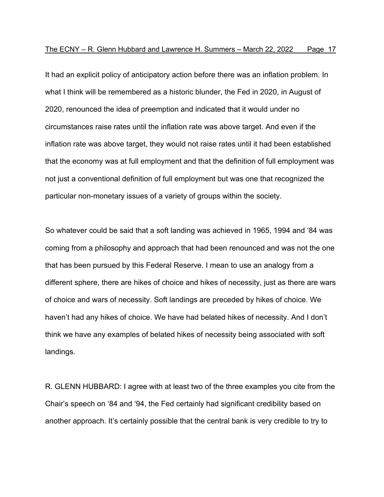It had an explicit policy of anticipatory action before there was an inflation problem. In what I think will be remembered as a historic blunder, the Fed in 2020, in August of 2020, renounced the idea of preemption and indicated that it would under no circumstances raise rates until the inflation rate was above target. And even if the inflation rate was above target, they would not raise rates until it had been established that the economy was at full employment and that the definition of full employment was not just a conventional definition of full employment but was one that recognized the particular non-monetary issues of a variety of groups within the society.

So whatever could be said that a soft landing was achieved in 1965, 1994 and '84 was coming from a philosophy and approach that had been renounced and was not the one that has been pursued by this Federal Reserve. I mean to use an analogy from a different sphere, there are hikes of choice and hikes of necessity, just as there are wars of choice and wars of necessity. Soft landings are preceded by hikes of choice. We haven't had any hikes of choice. We have had belated hikes of necessity. And I don't think we have any examples of belated hikes of necessity being associated with soft landings.

R. GLENN HUBBARD: I agree with at least two of the three examples you cite from the Chair's speech on '84 and '94, the Fed certainly had significant credibility based on another approach. It's certainly possible that the central bank is very credible to try to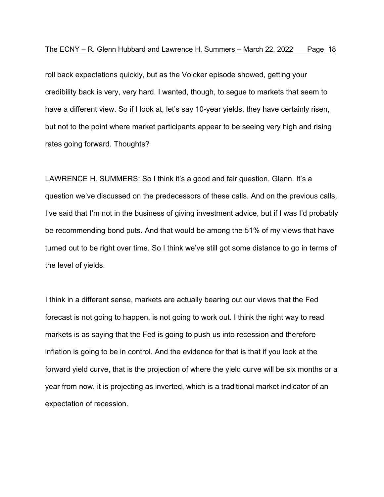roll back expectations quickly, but as the Volcker episode showed, getting your credibility back is very, very hard. I wanted, though, to segue to markets that seem to have a different view. So if I look at, let's say 10-year yields, they have certainly risen, but not to the point where market participants appear to be seeing very high and rising rates going forward. Thoughts?

LAWRENCE H. SUMMERS: So I think it's a good and fair question, Glenn. It's a question we've discussed on the predecessors of these calls. And on the previous calls, I've said that I'm not in the business of giving investment advice, but if I was I'd probably be recommending bond puts. And that would be among the 51% of my views that have turned out to be right over time. So I think we've still got some distance to go in terms of the level of yields.

I think in a different sense, markets are actually bearing out our views that the Fed forecast is not going to happen, is not going to work out. I think the right way to read markets is as saying that the Fed is going to push us into recession and therefore inflation is going to be in control. And the evidence for that is that if you look at the forward yield curve, that is the projection of where the yield curve will be six months or a year from now, it is projecting as inverted, which is a traditional market indicator of an expectation of recession.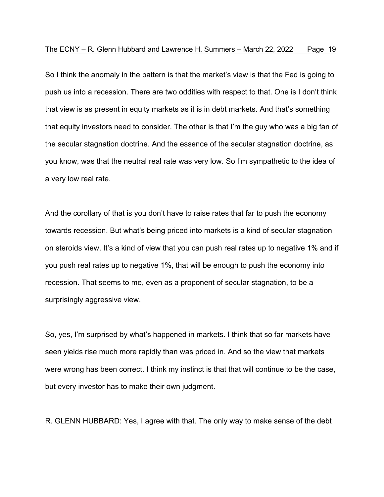So I think the anomaly in the pattern is that the market's view is that the Fed is going to push us into a recession. There are two oddities with respect to that. One is I don't think that view is as present in equity markets as it is in debt markets. And that's something that equity investors need to consider. The other is that I'm the guy who was a big fan of the secular stagnation doctrine. And the essence of the secular stagnation doctrine, as you know, was that the neutral real rate was very low. So I'm sympathetic to the idea of a very low real rate.

And the corollary of that is you don't have to raise rates that far to push the economy towards recession. But what's being priced into markets is a kind of secular stagnation on steroids view. It's a kind of view that you can push real rates up to negative 1% and if you push real rates up to negative 1%, that will be enough to push the economy into recession. That seems to me, even as a proponent of secular stagnation, to be a surprisingly aggressive view.

So, yes, I'm surprised by what's happened in markets. I think that so far markets have seen yields rise much more rapidly than was priced in. And so the view that markets were wrong has been correct. I think my instinct is that that will continue to be the case, but every investor has to make their own judgment.

R. GLENN HUBBARD: Yes, I agree with that. The only way to make sense of the debt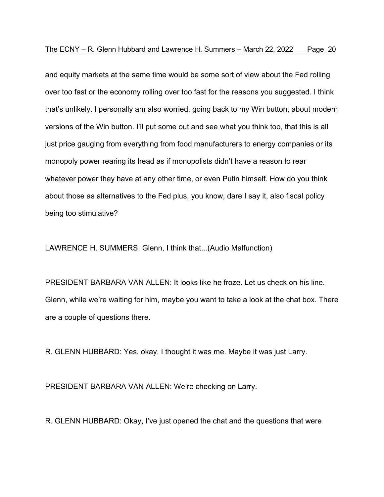and equity markets at the same time would be some sort of view about the Fed rolling over too fast or the economy rolling over too fast for the reasons you suggested. I think that's unlikely. I personally am also worried, going back to my Win button, about modern versions of the Win button. I'll put some out and see what you think too, that this is all just price gauging from everything from food manufacturers to energy companies or its monopoly power rearing its head as if monopolists didn't have a reason to rear whatever power they have at any other time, or even Putin himself. How do you think about those as alternatives to the Fed plus, you know, dare I say it, also fiscal policy being too stimulative?

LAWRENCE H. SUMMERS: Glenn, I think that...(Audio Malfunction)

PRESIDENT BARBARA VAN ALLEN: It looks like he froze. Let us check on his line. Glenn, while we're waiting for him, maybe you want to take a look at the chat box. There are a couple of questions there.

R. GLENN HUBBARD: Yes, okay, I thought it was me. Maybe it was just Larry.

PRESIDENT BARBARA VAN ALLEN: We're checking on Larry.

R. GLENN HUBBARD: Okay, I've just opened the chat and the questions that were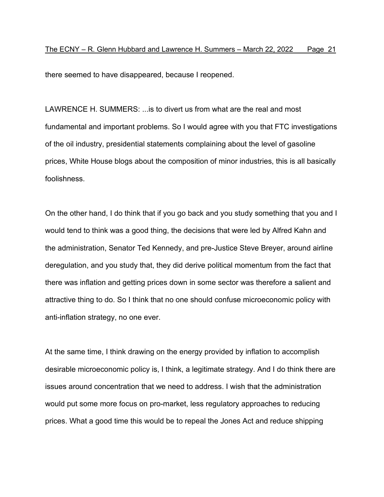there seemed to have disappeared, because I reopened.

LAWRENCE H. SUMMERS: ...is to divert us from what are the real and most fundamental and important problems. So I would agree with you that FTC investigations of the oil industry, presidential statements complaining about the level of gasoline prices, White House blogs about the composition of minor industries, this is all basically foolishness.

On the other hand, I do think that if you go back and you study something that you and I would tend to think was a good thing, the decisions that were led by Alfred Kahn and the administration, Senator Ted Kennedy, and pre-Justice Steve Breyer, around airline deregulation, and you study that, they did derive political momentum from the fact that there was inflation and getting prices down in some sector was therefore a salient and attractive thing to do. So I think that no one should confuse microeconomic policy with anti-inflation strategy, no one ever.

At the same time, I think drawing on the energy provided by inflation to accomplish desirable microeconomic policy is, I think, a legitimate strategy. And I do think there are issues around concentration that we need to address. I wish that the administration would put some more focus on pro-market, less regulatory approaches to reducing prices. What a good time this would be to repeal the Jones Act and reduce shipping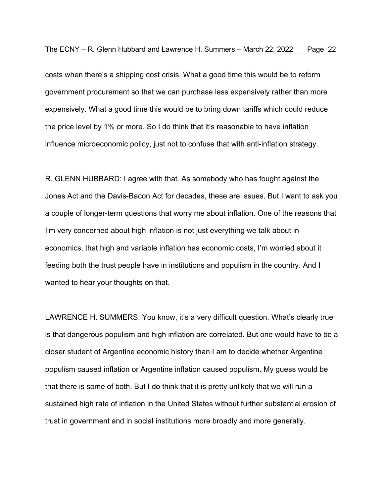costs when there's a shipping cost crisis. What a good time this would be to reform government procurement so that we can purchase less expensively rather than more expensively. What a good time this would be to bring down tariffs which could reduce the price level by 1% or more. So I do think that it's reasonable to have inflation influence microeconomic policy, just not to confuse that with anti-inflation strategy.

R. GLENN HUBBARD: I agree with that. As somebody who has fought against the Jones Act and the Davis-Bacon Act for decades, these are issues. But I want to ask you a couple of longer-term questions that worry me about inflation. One of the reasons that I'm very concerned about high inflation is not just everything we talk about in economics, that high and variable inflation has economic costs, I'm worried about it feeding both the trust people have in institutions and populism in the country. And I wanted to hear your thoughts on that.

LAWRENCE H. SUMMERS: You know, it's a very difficult question. What's clearly true is that dangerous populism and high inflation are correlated. But one would have to be a closer student of Argentine economic history than I am to decide whether Argentine populism caused inflation or Argentine inflation caused populism. My guess would be that there is some of both. But I do think that it is pretty unlikely that we will run a sustained high rate of inflation in the United States without further substantial erosion of trust in government and in social institutions more broadly and more generally.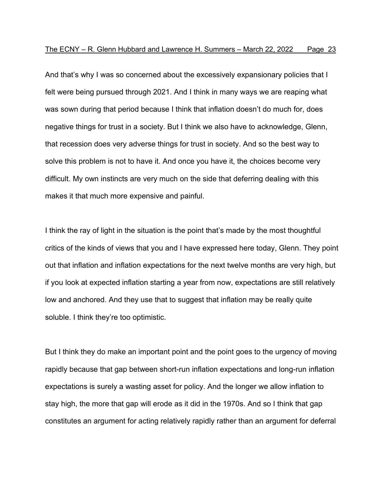And that's why I was so concerned about the excessively expansionary policies that I felt were being pursued through 2021. And I think in many ways we are reaping what was sown during that period because I think that inflation doesn't do much for, does negative things for trust in a society. But I think we also have to acknowledge, Glenn, that recession does very adverse things for trust in society. And so the best way to solve this problem is not to have it. And once you have it, the choices become very difficult. My own instincts are very much on the side that deferring dealing with this makes it that much more expensive and painful.

I think the ray of light in the situation is the point that's made by the most thoughtful critics of the kinds of views that you and I have expressed here today, Glenn. They point out that inflation and inflation expectations for the next twelve months are very high, but if you look at expected inflation starting a year from now, expectations are still relatively low and anchored. And they use that to suggest that inflation may be really quite soluble. I think they're too optimistic.

But I think they do make an important point and the point goes to the urgency of moving rapidly because that gap between short-run inflation expectations and long-run inflation expectations is surely a wasting asset for policy. And the longer we allow inflation to stay high, the more that gap will erode as it did in the 1970s. And so I think that gap constitutes an argument for acting relatively rapidly rather than an argument for deferral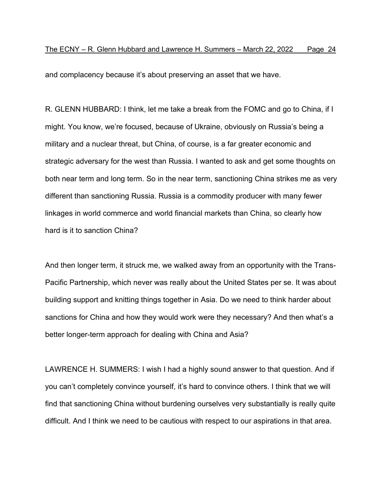and complacency because it's about preserving an asset that we have.

R. GLENN HUBBARD: I think, let me take a break from the FOMC and go to China, if I might. You know, we're focused, because of Ukraine, obviously on Russia's being a military and a nuclear threat, but China, of course, is a far greater economic and strategic adversary for the west than Russia. I wanted to ask and get some thoughts on both near term and long term. So in the near term, sanctioning China strikes me as very different than sanctioning Russia. Russia is a commodity producer with many fewer linkages in world commerce and world financial markets than China, so clearly how hard is it to sanction China?

And then longer term, it struck me, we walked away from an opportunity with the Trans-Pacific Partnership, which never was really about the United States per se. It was about building support and knitting things together in Asia. Do we need to think harder about sanctions for China and how they would work were they necessary? And then what's a better longer-term approach for dealing with China and Asia?

LAWRENCE H. SUMMERS: I wish I had a highly sound answer to that question. And if you can't completely convince yourself, it's hard to convince others. I think that we will find that sanctioning China without burdening ourselves very substantially is really quite difficult. And I think we need to be cautious with respect to our aspirations in that area.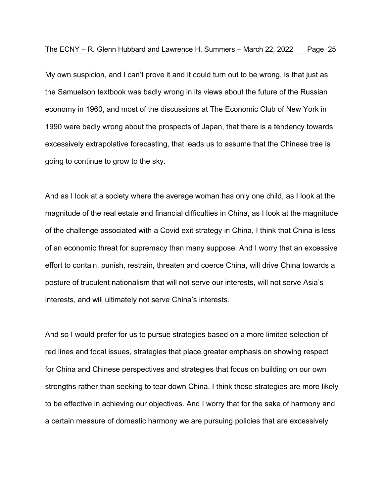My own suspicion, and I can't prove it and it could turn out to be wrong, is that just as the Samuelson textbook was badly wrong in its views about the future of the Russian economy in 1960, and most of the discussions at The Economic Club of New York in 1990 were badly wrong about the prospects of Japan, that there is a tendency towards excessively extrapolative forecasting, that leads us to assume that the Chinese tree is going to continue to grow to the sky.

And as I look at a society where the average woman has only one child, as I look at the magnitude of the real estate and financial difficulties in China, as I look at the magnitude of the challenge associated with a Covid exit strategy in China, I think that China is less of an economic threat for supremacy than many suppose. And I worry that an excessive effort to contain, punish, restrain, threaten and coerce China, will drive China towards a posture of truculent nationalism that will not serve our interests, will not serve Asia's interests, and will ultimately not serve China's interests.

And so I would prefer for us to pursue strategies based on a more limited selection of red lines and focal issues, strategies that place greater emphasis on showing respect for China and Chinese perspectives and strategies that focus on building on our own strengths rather than seeking to tear down China. I think those strategies are more likely to be effective in achieving our objectives. And I worry that for the sake of harmony and a certain measure of domestic harmony we are pursuing policies that are excessively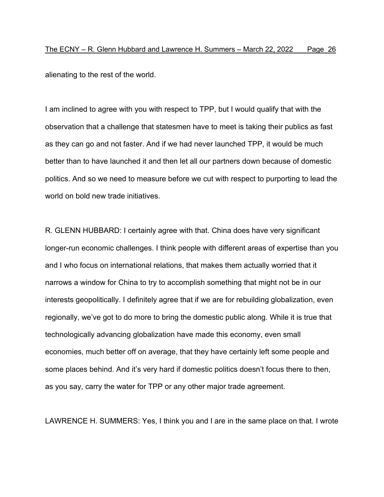alienating to the rest of the world.

I am inclined to agree with you with respect to TPP, but I would qualify that with the observation that a challenge that statesmen have to meet is taking their publics as fast as they can go and not faster. And if we had never launched TPP, it would be much better than to have launched it and then let all our partners down because of domestic politics. And so we need to measure before we cut with respect to purporting to lead the world on bold new trade initiatives.

R. GLENN HUBBARD: I certainly agree with that. China does have very significant longer-run economic challenges. I think people with different areas of expertise than you and I who focus on international relations, that makes them actually worried that it narrows a window for China to try to accomplish something that might not be in our interests geopolitically. I definitely agree that if we are for rebuilding globalization, even regionally, we've got to do more to bring the domestic public along. While it is true that technologically advancing globalization have made this economy, even small economies, much better off on average, that they have certainly left some people and some places behind. And it's very hard if domestic politics doesn't focus there to then, as you say, carry the water for TPP or any other major trade agreement.

LAWRENCE H. SUMMERS: Yes, I think you and I are in the same place on that. I wrote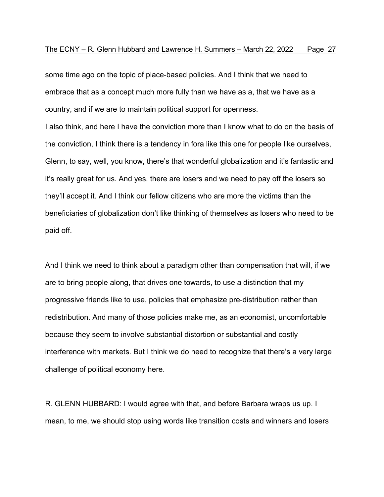some time ago on the topic of place-based policies. And I think that we need to embrace that as a concept much more fully than we have as a, that we have as a country, and if we are to maintain political support for openness.

I also think, and here I have the conviction more than I know what to do on the basis of the conviction, I think there is a tendency in fora like this one for people like ourselves, Glenn, to say, well, you know, there's that wonderful globalization and it's fantastic and it's really great for us. And yes, there are losers and we need to pay off the losers so they'll accept it. And I think our fellow citizens who are more the victims than the beneficiaries of globalization don't like thinking of themselves as losers who need to be paid off.

And I think we need to think about a paradigm other than compensation that will, if we are to bring people along, that drives one towards, to use a distinction that my progressive friends like to use, policies that emphasize pre-distribution rather than redistribution. And many of those policies make me, as an economist, uncomfortable because they seem to involve substantial distortion or substantial and costly interference with markets. But I think we do need to recognize that there's a very large challenge of political economy here.

R. GLENN HUBBARD: I would agree with that, and before Barbara wraps us up. I mean, to me, we should stop using words like transition costs and winners and losers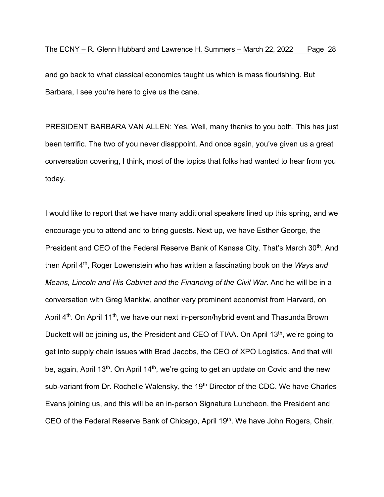and go back to what classical economics taught us which is mass flourishing. But Barbara, I see you're here to give us the cane.

PRESIDENT BARBARA VAN ALLEN: Yes. Well, many thanks to you both. This has just been terrific. The two of you never disappoint. And once again, you've given us a great conversation covering, I think, most of the topics that folks had wanted to hear from you today.

I would like to report that we have many additional speakers lined up this spring, and we encourage you to attend and to bring guests. Next up, we have Esther George, the President and CEO of the Federal Reserve Bank of Kansas City. That's March 30<sup>th</sup>. And then April 4th, Roger Lowenstein who has written a fascinating book on the *Ways and Means, Lincoln and His Cabinet and the Financing of the Civil War*. And he will be in a conversation with Greg Mankiw, another very prominent economist from Harvard, on April 4<sup>th</sup>. On April 11<sup>th</sup>, we have our next in-person/hybrid event and Thasunda Brown Duckett will be joining us, the President and CEO of TIAA. On April 13<sup>th</sup>, we're going to get into supply chain issues with Brad Jacobs, the CEO of XPO Logistics. And that will be, again, April 13<sup>th</sup>. On April 14<sup>th</sup>, we're going to get an update on Covid and the new sub-variant from Dr. Rochelle Walensky, the 19<sup>th</sup> Director of the CDC. We have Charles Evans joining us, and this will be an in-person Signature Luncheon, the President and CEO of the Federal Reserve Bank of Chicago, April 19<sup>th</sup>. We have John Rogers, Chair,